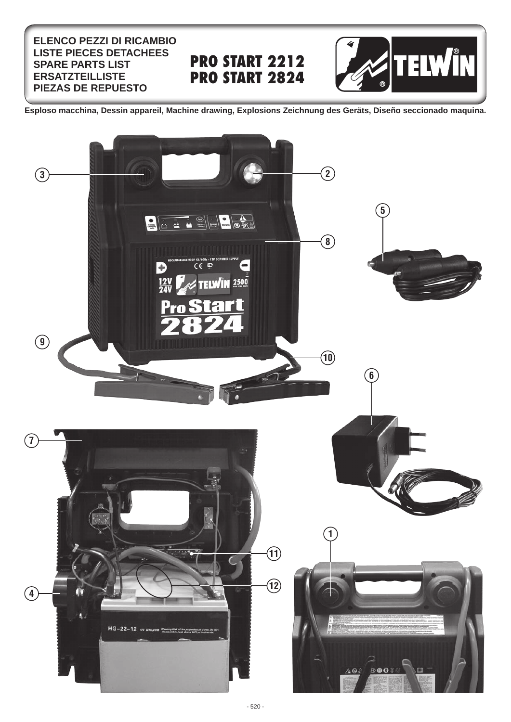## **ELENCO PEZZI DI RICAMBIO LISTE PIECES DETACHEES SPARE PARTS LIST ERSATZTEILLISTE PIEZAS DE REPUESTO**

## **PRO START 2212 PRO START 2824**



**Esploso macchina, Dessin appareil, Machine drawing, Explosions Zeichnung des Geräts, Diseño seccionado maquina.**